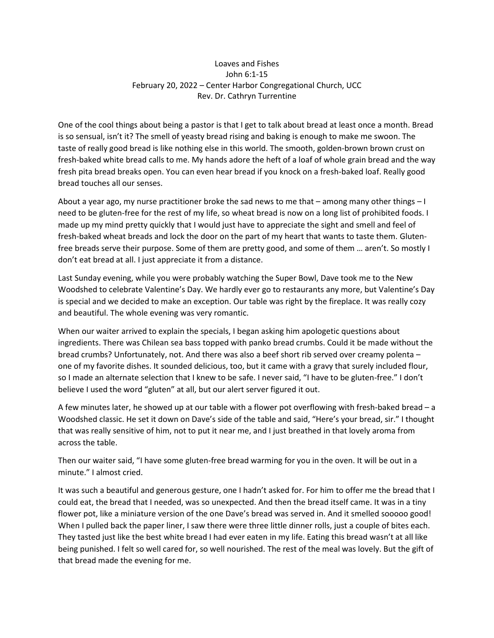## Loaves and Fishes John 6:1-15 February 20, 2022 – Center Harbor Congregational Church, UCC Rev. Dr. Cathryn Turrentine

One of the cool things about being a pastor is that I get to talk about bread at least once a month. Bread is so sensual, isn't it? The smell of yeasty bread rising and baking is enough to make me swoon. The taste of really good bread is like nothing else in this world. The smooth, golden-brown brown crust on fresh-baked white bread calls to me. My hands adore the heft of a loaf of whole grain bread and the way fresh pita bread breaks open. You can even hear bread if you knock on a fresh-baked loaf. Really good bread touches all our senses.

About a year ago, my nurse practitioner broke the sad news to me that – among many other things – I need to be gluten-free for the rest of my life, so wheat bread is now on a long list of prohibited foods. I made up my mind pretty quickly that I would just have to appreciate the sight and smell and feel of fresh-baked wheat breads and lock the door on the part of my heart that wants to taste them. Glutenfree breads serve their purpose. Some of them are pretty good, and some of them … aren't. So mostly I don't eat bread at all. I just appreciate it from a distance.

Last Sunday evening, while you were probably watching the Super Bowl, Dave took me to the New Woodshed to celebrate Valentine's Day. We hardly ever go to restaurants any more, but Valentine's Day is special and we decided to make an exception. Our table was right by the fireplace. It was really cozy and beautiful. The whole evening was very romantic.

When our waiter arrived to explain the specials, I began asking him apologetic questions about ingredients. There was Chilean sea bass topped with panko bread crumbs. Could it be made without the bread crumbs? Unfortunately, not. And there was also a beef short rib served over creamy polenta – one of my favorite dishes. It sounded delicious, too, but it came with a gravy that surely included flour, so I made an alternate selection that I knew to be safe. I never said, "I have to be gluten-free." I don't believe I used the word "gluten" at all, but our alert server figured it out.

A few minutes later, he showed up at our table with a flower pot overflowing with fresh-baked bread – a Woodshed classic. He set it down on Dave's side of the table and said, "Here's your bread, sir." I thought that was really sensitive of him, not to put it near me, and I just breathed in that lovely aroma from across the table.

Then our waiter said, "I have some gluten-free bread warming for you in the oven. It will be out in a minute." I almost cried.

It was such a beautiful and generous gesture, one I hadn't asked for. For him to offer me the bread that I could eat, the bread that I needed, was so unexpected. And then the bread itself came. It was in a tiny flower pot, like a miniature version of the one Dave's bread was served in. And it smelled sooooo good! When I pulled back the paper liner, I saw there were three little dinner rolls, just a couple of bites each. They tasted just like the best white bread I had ever eaten in my life. Eating this bread wasn't at all like being punished. I felt so well cared for, so well nourished. The rest of the meal was lovely. But the gift of that bread made the evening for me.